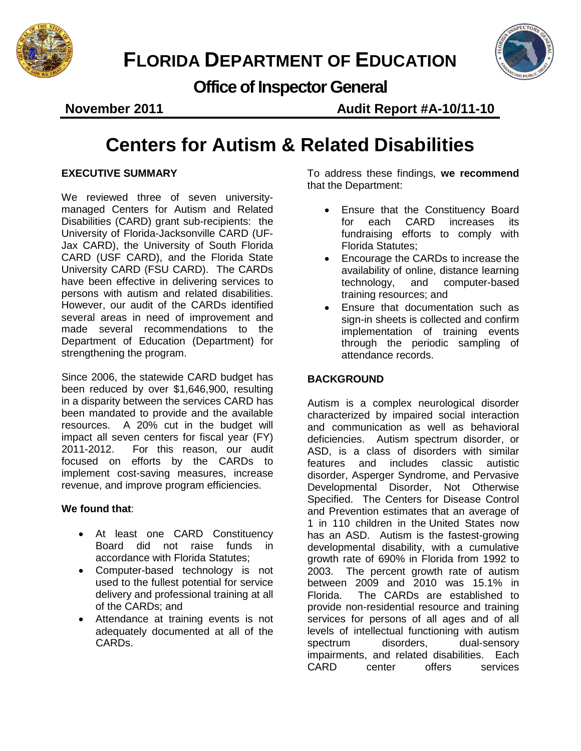



**Office of Inspector General**

**November 2011 Audit Report #A-10/11-10** 

## **Centers for Autism & Related Disabilities**

#### **EXECUTIVE SUMMARY**

We reviewed three of seven universitymanaged Centers for Autism and Related Disabilities (CARD) grant sub-recipients: the University of Florida-Jacksonville CARD (UF-Jax CARD), the University of South Florida CARD (USF CARD), and the Florida State University CARD (FSU CARD). The CARDs have been effective in delivering services to persons with autism and related disabilities. However, our audit of the CARDs identified several areas in need of improvement and made several recommendations to the Department of Education (Department) for strengthening the program.

Since 2006, the statewide CARD budget has been reduced by over \$1,646,900, resulting in a disparity between the services CARD has been mandated to provide and the available resources. A 20% cut in the budget will impact all seven centers for fiscal year (FY) 2011-2012. For this reason, our audit focused on efforts by the CARDs to implement cost-saving measures, increase revenue, and improve program efficiencies.

#### **We found that**:

- At least one CARD Constituency Board did not raise funds in accordance with Florida Statutes;
- Computer-based technology is not used to the fullest potential for service delivery and professional training at all of the CARDs; and
- Attendance at training events is not adequately documented at all of the CARDs.

To address these findings, **we recommend** that the Department:

- Ensure that the Constituency Board for each CARD increases its fundraising efforts to comply with Florida Statutes;
- Encourage the CARDs to increase the availability of online, distance learning technology, and computer-based training resources; and
- Ensure that documentation such as sign-in sheets is collected and confirm implementation of training events through the periodic sampling of attendance records.

#### **BACKGROUND**

Autism is a complex neurological disorder characterized by impaired social interaction and communication as well as behavioral deficiencies. Autism spectrum disorder, or ASD, is a class of disorders with similar features and includes classic autistic disorder, Asperger Syndrome, and Pervasive Developmental Disorder, Not Otherwise Specified. The Centers for Disease Control and Prevention estimates that an average of 1 in 110 children in the United States now has an ASD. Autism is the fastest-growing developmental disability, with a cumulative growth rate of 690% in Florida from 1992 to 2003. The percent growth rate of autism between 2009 and 2010 was 15.1% in Florida. The CARDs are established to provide non-residential resource and training services for persons of all ages and of all levels of intellectual functioning with autism<br>spectrum disorders. dual-sensory spectrum disorders, dual-sensory impairments, and related disabilities. Each CARD center offers services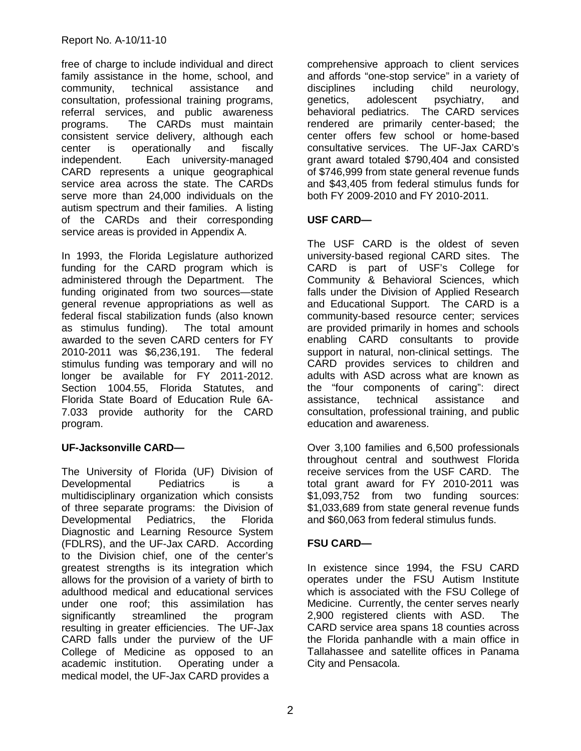free of charge to include individual and direct family assistance in the home, school, and community, technical assistance and consultation, professional training programs, referral services, and public awareness programs. The CARDs must maintain consistent service delivery, although each center is operationally and fiscally independent. Each university-managed CARD represents a unique geographical service area across the state. The CARDs serve more than 24,000 individuals on the autism spectrum and their families. A listing of the CARDs and their corresponding service areas is provided in Appendix A.

In 1993, the Florida Legislature authorized funding for the CARD program which is administered through the Department. The funding originated from two sources—state general revenue appropriations as well as federal fiscal stabilization funds (also known as stimulus funding). The total amount awarded to the seven CARD centers for FY 2010-2011 was \$6,236,191. The federal stimulus funding was temporary and will no longer be available for FY 2011-2012. Section 1004.55, Florida Statutes, and Florida State Board of Education Rule 6A-7.033 provide authority for the CARD program.

#### **UF-Jacksonville CARD—**

The University of Florida (UF) Division of Developmental Pediatrics is a multidisciplinary organization which consists of three separate programs: the Division of<br>Developmental Pediatrics, the Florida Developmental Pediatrics, the Florida Diagnostic and Learning Resource System (FDLRS), and the UF-Jax CARD. According to the Division chief, one of the center's greatest strengths is its integration which allows for the provision of a variety of birth to adulthood medical and educational services under one roof; this assimilation has significantly streamlined the program resulting in greater efficiencies. The UF-Jax CARD falls under the purview of the UF College of Medicine as opposed to an academic institution. Operating under a medical model, the UF-Jax CARD provides a

comprehensive approach to client services and affords "one-stop service" in a variety of disciplines including child neurology, genetics, adolescent psychiatry, and behavioral pediatrics. The CARD services rendered are primarily center-based; the center offers few school or home-based consultative services. The UF-Jax CARD's grant award totaled \$790,404 and consisted of \$746,999 from state general revenue funds and \$43,405 from federal stimulus funds for both FY 2009-2010 and FY 2010-2011.

#### **USF CARD—**

The USF CARD is the oldest of seven university-based regional CARD sites. The CARD is part of USF's College for Community & Behavioral Sciences, which falls under the Division of Applied Research and Educational Support. The CARD is a community-based resource center; services are provided primarily in homes and schools enabling CARD consultants to provide support in natural, non-clinical settings. The CARD provides services to children and adults with ASD across what are known as the "four components of caring": direct assistance, technical assistance and consultation, professional training, and public education and awareness.

Over 3,100 families and 6,500 professionals throughout central and southwest Florida receive services from the USF CARD. The total grant award for FY 2010-2011 was \$1,093,752 from two funding sources: \$1,033,689 from state general revenue funds and \$60,063 from federal stimulus funds.

#### **FSU CARD—**

In existence since 1994, the FSU CARD operates under the FSU Autism Institute which is associated with the FSU College of Medicine. Currently, the center serves nearly 2,900 registered clients with ASD. The CARD service area spans 18 counties across the Florida panhandle with a main office in Tallahassee and satellite offices in Panama City and Pensacola.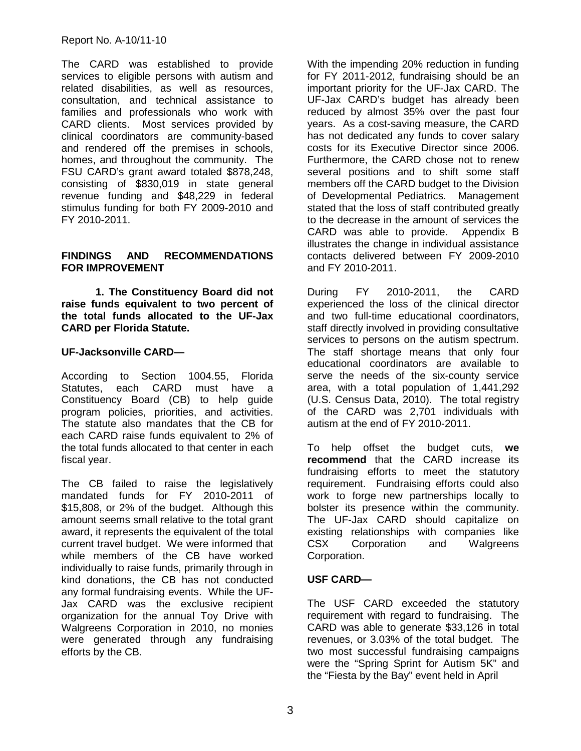#### Report No. A-10/11-10

The CARD was established to provide services to eligible persons with autism and related disabilities, as well as resources, consultation, and technical assistance to families and professionals who work with CARD clients. Most services provided by clinical coordinators are community-based and rendered off the premises in schools, homes, and throughout the community. The FSU CARD's grant award totaled \$878,248, consisting of \$830,019 in state general revenue funding and \$48,229 in federal stimulus funding for both FY 2009-2010 and FY 2010-2011.

#### **FINDINGS AND RECOMMENDATIONS FOR IMPROVEMENT**

**1. The Constituency Board did not raise funds equivalent to two percent of the total funds allocated to the UF-Jax CARD per Florida Statute.**

#### **UF-Jacksonville CARD—**

According to Section 1004.55, Florida Statutes, each CARD must have a Constituency Board (CB) to help guide program policies, priorities, and activities. The statute also mandates that the CB for each CARD raise funds equivalent to 2% of the total funds allocated to that center in each fiscal year.

The CB failed to raise the legislatively mandated funds for FY 2010-2011 of \$15,808, or 2% of the budget. Although this amount seems small relative to the total grant award, it represents the equivalent of the total current travel budget. We were informed that while members of the CB have worked individually to raise funds, primarily through in kind donations, the CB has not conducted any formal fundraising events. While the UF-Jax CARD was the exclusive recipient organization for the annual Toy Drive with Walgreens Corporation in 2010, no monies were generated through any fundraising efforts by the CB.

With the impending 20% reduction in funding for FY 2011-2012, fundraising should be an important priority for the UF-Jax CARD. The UF-Jax CARD's budget has already been reduced by almost 35% over the past four years. As a cost-saving measure, the CARD has not dedicated any funds to cover salary costs for its Executive Director since 2006. Furthermore, the CARD chose not to renew several positions and to shift some staff members off the CARD budget to the Division of Developmental Pediatrics. Management stated that the loss of staff contributed greatly to the decrease in the amount of services the CARD was able to provide. Appendix B illustrates the change in individual assistance contacts delivered between FY 2009-2010 and FY 2010-2011.

During FY 2010-2011, the CARD experienced the loss of the clinical director and two full-time educational coordinators, staff directly involved in providing consultative services to persons on the autism spectrum. The staff shortage means that only four educational coordinators are available to serve the needs of the six-county service area, with a total population of 1,441,292 (U.S. Census Data, 2010). The total registry of the CARD was 2,701 individuals with autism at the end of FY 2010-2011.

To help offset the budget cuts, **we recommend** that the CARD increase its fundraising efforts to meet the statutory requirement. Fundraising efforts could also work to forge new partnerships locally to bolster its presence within the community. The UF-Jax CARD should capitalize on existing relationships with companies like CSX Corporation and Walgreens Corporation.

#### **USF CARD—**

The USF CARD exceeded the statutory requirement with regard to fundraising. The CARD was able to generate \$33,126 in total revenues, or 3.03% of the total budget. The two most successful fundraising campaigns were the "Spring Sprint for Autism 5K" and the "Fiesta by the Bay" event held in April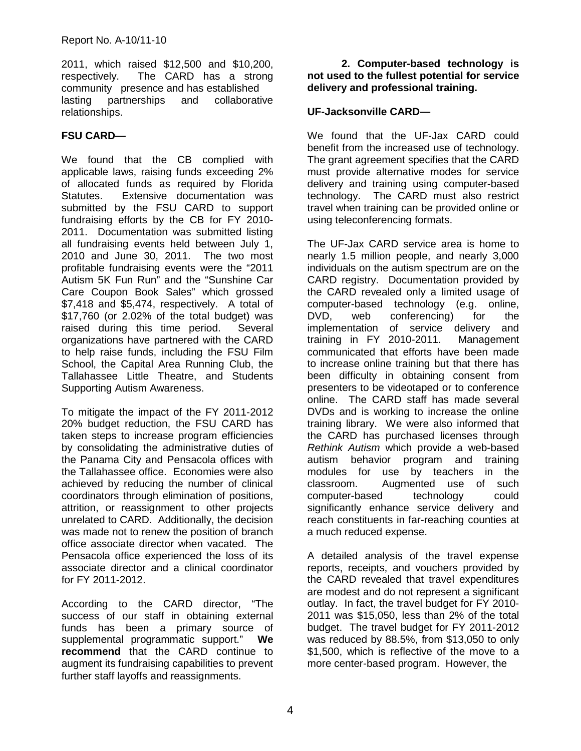2011, which raised \$12,500 and \$10,200, respectively. The CARD has a strong community presence and has established lasting partnerships and collaborative relationships.

#### **FSU CARD—**

We found that the CB complied with applicable laws, raising funds exceeding 2% of allocated funds as required by Florida Statutes. Extensive documentation was submitted by the FSU CARD to support fundraising efforts by the CB for FY 2010- 2011. Documentation was submitted listing all fundraising events held between July 1, 2010 and June 30, 2011. The two most profitable fundraising events were the "2011 Autism 5K Fun Run" and the "Sunshine Car Care Coupon Book Sales" which grossed \$7,418 and \$5,474, respectively. A total of \$17,760 (or 2.02% of the total budget) was raised during this time period. Several organizations have partnered with the CARD to help raise funds, including the FSU Film School, the Capital Area Running Club, the Tallahassee Little Theatre, and Students Supporting Autism Awareness.

To mitigate the impact of the FY 2011-2012 20% budget reduction, the FSU CARD has taken steps to increase program efficiencies by consolidating the administrative duties of the Panama City and Pensacola offices with the Tallahassee office. Economies were also achieved by reducing the number of clinical coordinators through elimination of positions, attrition, or reassignment to other projects unrelated to CARD. Additionally, the decision was made not to renew the position of branch office associate director when vacated. The Pensacola office experienced the loss of its associate director and a clinical coordinator for FY 2011-2012.

According to the CARD director, "The success of our staff in obtaining external funds has been a primary source of supplemental programmatic support." **We recommend** that the CARD continue to augment its fundraising capabilities to prevent further staff layoffs and reassignments.

**2. Computer-based technology is not used to the fullest potential for service delivery and professional training.** 

#### **UF-Jacksonville CARD—**

We found that the UF-Jax CARD could benefit from the increased use of technology. The grant agreement specifies that the CARD must provide alternative modes for service delivery and training using computer-based technology. The CARD must also restrict travel when training can be provided online or using teleconferencing formats.

The UF-Jax CARD service area is home to nearly 1.5 million people, and nearly 3,000 individuals on the autism spectrum are on the CARD registry. Documentation provided by the CARD revealed only a limited usage of computer-based technology (e.g. online, DVD, web conferencing) for the implementation of service delivery and training in FY 2010-2011. Management communicated that efforts have been made to increase online training but that there has been difficulty in obtaining consent from presenters to be videotaped or to conference online. The CARD staff has made several DVDs and is working to increase the online training library. We were also informed that the CARD has purchased licenses through *Rethink Autism* which provide a web-based autism behavior program and training modules for use by teachers in the classroom. Augmented use of such computer-based technology could significantly enhance service delivery and reach constituents in far-reaching counties at a much reduced expense.

A detailed analysis of the travel expense reports, receipts, and vouchers provided by the CARD revealed that travel expenditures are modest and do not represent a significant outlay. In fact, the travel budget for FY 2010- 2011 was \$15,050, less than 2% of the total budget. The travel budget for FY 2011-2012 was reduced by 88.5%, from \$13,050 to only \$1,500, which is reflective of the move to a more center-based program. However, the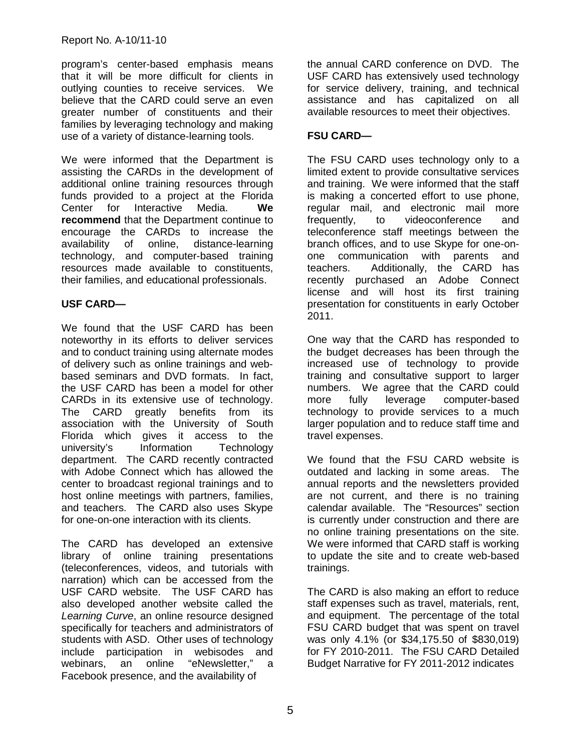program's center-based emphasis means that it will be more difficult for clients in outlying counties to receive services. We believe that the CARD could serve an even greater number of constituents and their families by leveraging technology and making use of a variety of distance-learning tools.

We were informed that the Department is assisting the CARDs in the development of additional online training resources through funds provided to a project at the Florida Center for Interactive Media. **We recommend** that the Department continue to encourage the CARDs to increase the availability of online, distance-learning technology, and computer-based training resources made available to constituents, their families, and educational professionals.

#### **USF CARD—**

We found that the USF CARD has been noteworthy in its efforts to deliver services and to conduct training using alternate modes of delivery such as online trainings and webbased seminars and DVD formats. In fact, the USF CARD has been a model for other CARDs in its extensive use of technology. The CARD greatly benefits from its association with the University of South Florida which gives it access to the university's Information Technology department. The CARD recently contracted with Adobe Connect which has allowed the center to broadcast regional trainings and to host online meetings with partners, families, and teachers. The CARD also uses Skype for one-on-one interaction with its clients.

The CARD has developed an extensive library of online training presentations (teleconferences, videos, and tutorials with narration) which can be accessed from the USF CARD website. The USF CARD has also developed another website called the *Learning Curve*, an online resource designed specifically for teachers and administrators of students with ASD. Other uses of technology include participation in webisodes and<br>webinars. an online "eNewsletter." a webinars, an online "eNewsletter," a Facebook presence, and the availability of

the annual CARD conference on DVD. The USF CARD has extensively used technology for service delivery, training, and technical assistance and has capitalized on all available resources to meet their objectives.

#### **FSU CARD—**

The FSU CARD uses technology only to a limited extent to provide consultative services and training. We were informed that the staff is making a concerted effort to use phone, regular mail, and electronic mail more frequently, to videoconference and teleconference staff meetings between the branch offices, and to use Skype for one-onone communication with parents and teachers. Additionally, the CARD has recently purchased an Adobe Connect license and will host its first training presentation for constituents in early October 2011.

One way that the CARD has responded to the budget decreases has been through the increased use of technology to provide training and consultative support to larger numbers. We agree that the CARD could<br>more fully leverage computer-based more fully leverage computer-based technology to provide services to a much larger population and to reduce staff time and travel expenses.

We found that the FSU CARD website is outdated and lacking in some areas. The annual reports and the newsletters provided are not current, and there is no training calendar available. The "Resources" section is currently under construction and there are no online training presentations on the site. We were informed that CARD staff is working to update the site and to create web-based trainings.

The CARD is also making an effort to reduce staff expenses such as travel, materials, rent, and equipment. The percentage of the total FSU CARD budget that was spent on travel was only 4.1% (or \$34,175.50 of \$830,019) for FY 2010-2011. The FSU CARD Detailed Budget Narrative for FY 2011-2012 indicates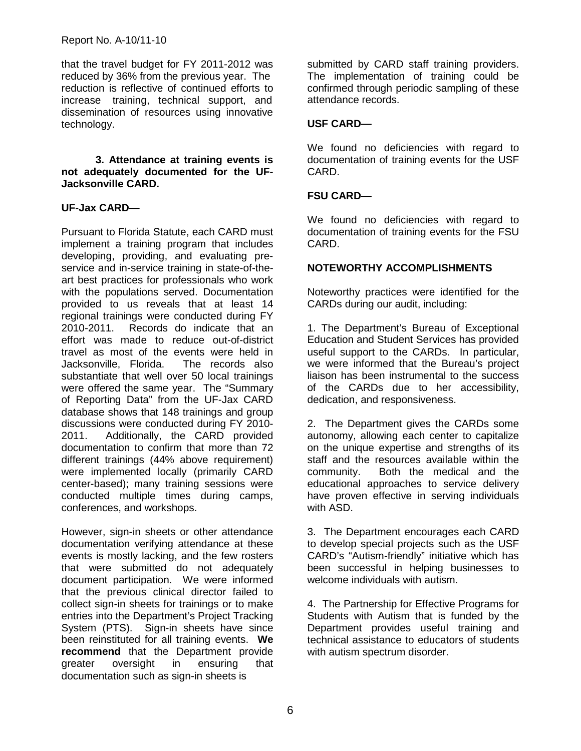that the travel budget for FY 2011-2012 was reduced by 36% from the previous year. The reduction is reflective of continued efforts to increase training, technical support, and dissemination of resources using innovative technology.

**3. Attendance at training events is not adequately documented for the UF-Jacksonville CARD.** 

#### **UF-Jax CARD—**

Pursuant to Florida Statute, each CARD must implement a training program that includes developing, providing, and evaluating preservice and in-service training in state-of-theart best practices for professionals who work with the populations served. Documentation provided to us reveals that at least 14 regional trainings were conducted during FY 2010-2011. Records do indicate that an effort was made to reduce out-of-district travel as most of the events were held in Jacksonville, Florida. The records also substantiate that well over 50 local trainings were offered the same year. The "Summary of Reporting Data" from the UF-Jax CARD database shows that 148 trainings and group discussions were conducted during FY 2010- 2011. Additionally, the CARD provided documentation to confirm that more than 72 different trainings (44% above requirement) were implemented locally (primarily CARD center-based); many training sessions were conducted multiple times during camps, conferences, and workshops.

However, sign-in sheets or other attendance documentation verifying attendance at these events is mostly lacking, and the few rosters that were submitted do not adequately document participation. We were informed that the previous clinical director failed to collect sign-in sheets for trainings or to make entries into the Department's Project Tracking System (PTS). Sign-in sheets have since been reinstituted for all training events. **We recommend** that the Department provide<br> **greater oversight** 
in **ensuring** 
that oversight in ensuring that documentation such as sign-in sheets is

submitted by CARD staff training providers. The implementation of training could be confirmed through periodic sampling of these attendance records.

#### **USF CARD—**

We found no deficiencies with regard to documentation of training events for the USF CARD.

#### **FSU CARD—**

We found no deficiencies with regard to documentation of training events for the FSU CARD.

#### **NOTEWORTHY ACCOMPLISHMENTS**

Noteworthy practices were identified for the CARDs during our audit, including:

1. The Department's Bureau of Exceptional Education and Student Services has provided useful support to the CARDs. In particular, we were informed that the Bureau's project liaison has been instrumental to the success of the CARDs due to her accessibility, dedication, and responsiveness.

2. The Department gives the CARDs some autonomy, allowing each center to capitalize on the unique expertise and strengths of its staff and the resources available within the community. Both the medical and the educational approaches to service delivery have proven effective in serving individuals with ASD.

3. The Department encourages each CARD to develop special projects such as the USF CARD's "Autism-friendly" initiative which has been successful in helping businesses to welcome individuals with autism.

4. The Partnership for Effective Programs for Students with Autism that is funded by the Department provides useful training and technical assistance to educators of students with autism spectrum disorder.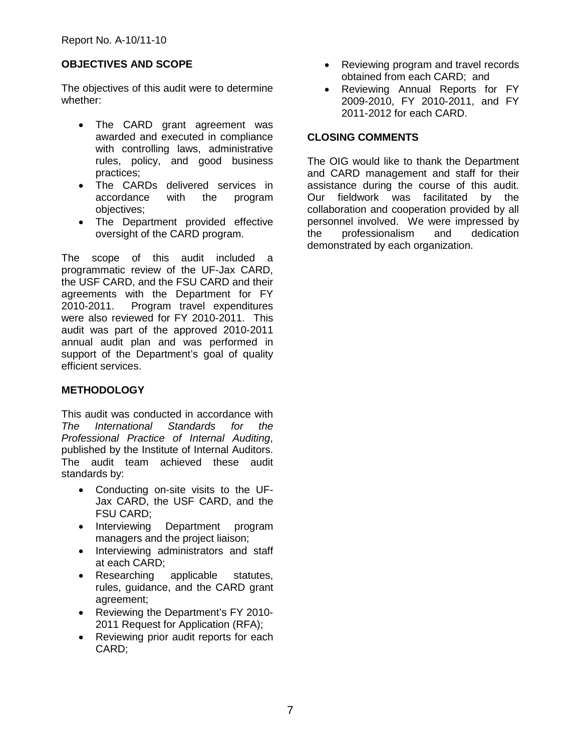#### **OBJECTIVES AND SCOPE**

The objectives of this audit were to determine whether:

- The CARD grant agreement was awarded and executed in compliance with controlling laws, administrative rules, policy, and good business practices;
- The CARDs delivered services in accordance with the program objectives;
- The Department provided effective oversight of the CARD program.

The scope of this audit included a programmatic review of the UF-Jax CARD, the USF CARD, and the FSU CARD and their agreements with the Department for FY 2010-2011. Program travel expenditures were also reviewed for FY 2010-2011. This audit was part of the approved 2010-2011 annual audit plan and was performed in support of the Department's goal of quality efficient services.

#### **METHODOLOGY**

This audit was conducted in accordance with *The International Standards for the Professional Practice of Internal Auditing*, published by the Institute of Internal Auditors. The audit team achieved these audit standards by:

- Conducting on-site visits to the UF-Jax CARD, the USF CARD, and the FSU CARD;
- Interviewing Department program managers and the project liaison;
- Interviewing administrators and staff at each CARD;
- Researching applicable statutes, rules, guidance, and the CARD grant agreement;
- Reviewing the Department's FY 2010- 2011 Request for Application (RFA);
- Reviewing prior audit reports for each CARD;
- Reviewing program and travel records obtained from each CARD; and
- Reviewing Annual Reports for FY 2009-2010, FY 2010-2011, and FY 2011-2012 for each CARD.

#### **CLOSING COMMENTS**

The OIG would like to thank the Department and CARD management and staff for their assistance during the course of this audit. Our fieldwork was facilitated by the collaboration and cooperation provided by all personnel involved. We were impressed by the professionalism and dedication demonstrated by each organization.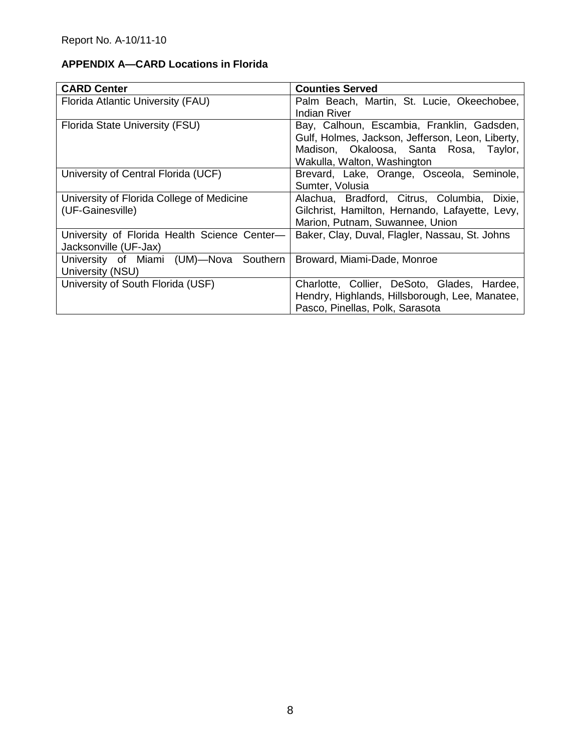#### **APPENDIX A—CARD Locations in Florida**

| <b>CARD Center</b>                                                    | <b>Counties Served</b>                                                                                                                                                  |
|-----------------------------------------------------------------------|-------------------------------------------------------------------------------------------------------------------------------------------------------------------------|
| Florida Atlantic University (FAU)                                     | Palm Beach, Martin, St. Lucie, Okeechobee,<br>Indian River                                                                                                              |
| Florida State University (FSU)                                        | Bay, Calhoun, Escambia, Franklin, Gadsden,<br>Gulf, Holmes, Jackson, Jefferson, Leon, Liberty,<br>Madison, Okaloosa, Santa Rosa, Taylor,<br>Wakulla, Walton, Washington |
| University of Central Florida (UCF)                                   | Brevard, Lake, Orange, Osceola, Seminole,<br>Sumter, Volusia                                                                                                            |
| University of Florida College of Medicine<br>(UF-Gainesville)         | Alachua, Bradford, Citrus, Columbia,<br>Dixie.<br>Gilchrist, Hamilton, Hernando, Lafayette, Levy,<br>Marion, Putnam, Suwannee, Union                                    |
| University of Florida Health Science Center-<br>Jacksonville (UF-Jax) | Baker, Clay, Duval, Flagler, Nassau, St. Johns                                                                                                                          |
| University of Miami (UM)-Nova Southern<br>University (NSU)            | Broward, Miami-Dade, Monroe                                                                                                                                             |
| University of South Florida (USF)                                     | Charlotte, Collier, DeSoto, Glades, Hardee,<br>Hendry, Highlands, Hillsborough, Lee, Manatee,<br>Pasco, Pinellas, Polk, Sarasota                                        |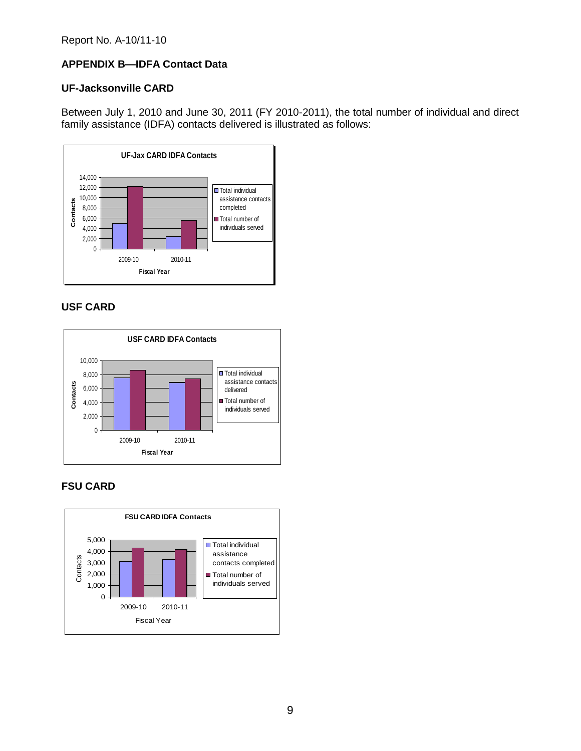#### **APPENDIX B—IDFA Contact Data**

#### **UF-Jacksonville CARD**

Between July 1, 2010 and June 30, 2011 (FY 2010-2011), the total number of individual and direct family assistance (IDFA) contacts delivered is illustrated as follows:



### **USF CARD**



#### **FSU CARD**